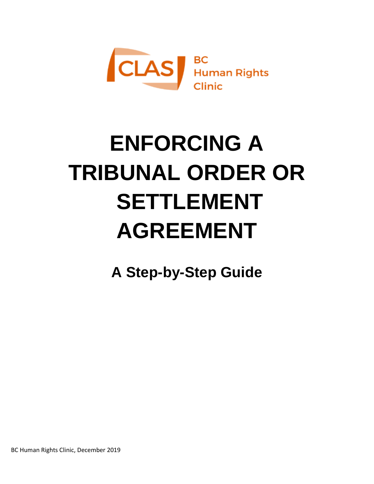

# **ENFORCING A TRIBUNAL ORDER OR SETTLEMENT AGREEMENT**

**A Step-by-Step Guide**

BC Human Rights Clinic, December 2019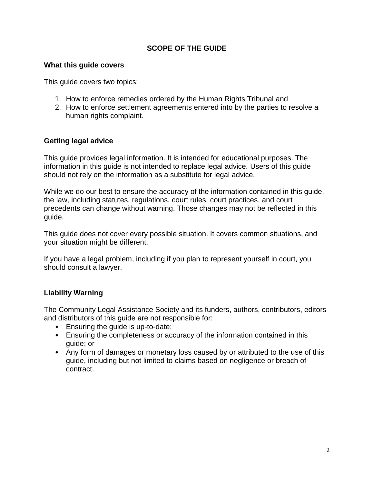## **SCOPE OF THE GUIDE**

#### **What this guide covers**

This guide covers two topics:

- 1. How to enforce remedies ordered by the Human Rights Tribunal and
- 2. How to enforce settlement agreements entered into by the parties to resolve a human rights complaint.

## **Getting legal advice**

This guide provides legal information. It is intended for educational purposes. The information in this guide is not intended to replace legal advice. Users of this guide should not rely on the information as a substitute for legal advice.

While we do our best to ensure the accuracy of the information contained in this guide, the law, including statutes, regulations, court rules, court practices, and court precedents can change without warning. Those changes may not be reflected in this guide.

This guide does not cover every possible situation. It covers common situations, and your situation might be different.

If you have a legal problem, including if you plan to represent yourself in court, you should consult a lawyer.

## **Liability Warning**

The Community Legal Assistance Society and its funders, authors, contributors, editors and distributors of this guide are not responsible for:

- Ensuring the guide is up-to-date;
- Ensuring the completeness or accuracy of the information contained in this guide; or
- Any form of damages or monetary loss caused by or attributed to the use of this guide, including but not limited to claims based on negligence or breach of contract.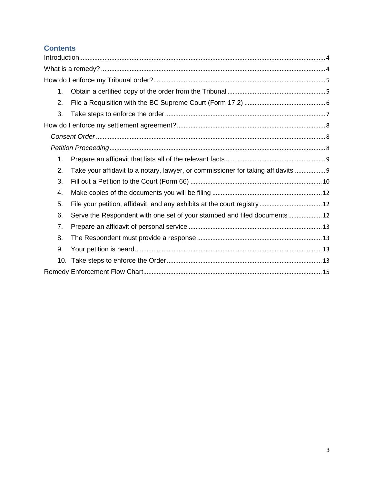# **Contents**

| 1. |                                                                                   |  |
|----|-----------------------------------------------------------------------------------|--|
| 2. |                                                                                   |  |
| 3. |                                                                                   |  |
|    |                                                                                   |  |
|    |                                                                                   |  |
|    |                                                                                   |  |
| 1. |                                                                                   |  |
| 2. | Take your affidavit to a notary, lawyer, or commissioner for taking affidavits  9 |  |
| 3. |                                                                                   |  |
| 4. |                                                                                   |  |
| 5. | File your petition, affidavit, and any exhibits at the court registry  12         |  |
| 6. | Serve the Respondent with one set of your stamped and filed documents 12          |  |
| 7. |                                                                                   |  |
| 8. |                                                                                   |  |
| 9. |                                                                                   |  |
|    |                                                                                   |  |
|    |                                                                                   |  |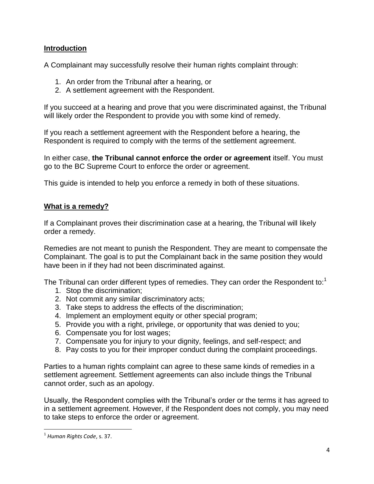### <span id="page-3-0"></span>**Introduction**

A Complainant may successfully resolve their human rights complaint through:

- 1. An order from the Tribunal after a hearing, or
- 2. A settlement agreement with the Respondent.

If you succeed at a hearing and prove that you were discriminated against, the Tribunal will likely order the Respondent to provide you with some kind of remedy.

If you reach a settlement agreement with the Respondent before a hearing, the Respondent is required to comply with the terms of the settlement agreement.

In either case, **the Tribunal cannot enforce the order or agreement** itself. You must go to the BC Supreme Court to enforce the order or agreement.

<span id="page-3-1"></span>This guide is intended to help you enforce a remedy in both of these situations.

#### **What is a remedy?**

If a Complainant proves their discrimination case at a hearing, the Tribunal will likely order a remedy.

Remedies are not meant to punish the Respondent. They are meant to compensate the Complainant. The goal is to put the Complainant back in the same position they would have been in if they had not been discriminated against.

The Tribunal can order different types of remedies. They can order the Respondent to:<sup>1</sup>

- 1. Stop the discrimination;
- 2. Not commit any similar discriminatory acts;
- 3. Take steps to address the effects of the discrimination;
- 4. Implement an employment equity or other special program;
- 5. Provide you with a right, privilege, or opportunity that was denied to you;
- 6. Compensate you for lost wages;
- 7. Compensate you for injury to your dignity, feelings, and self-respect; and
- 8. Pay costs to you for their improper conduct during the complaint proceedings.

Parties to a human rights complaint can agree to these same kinds of remedies in a settlement agreement. Settlement agreements can also include things the Tribunal cannot order, such as an apology.

Usually, the Respondent complies with the Tribunal's order or the terms it has agreed to in a settlement agreement. However, if the Respondent does not comply, you may need to take steps to enforce the order or agreement.

 $\overline{\phantom{a}}$ 

<sup>1</sup> *Human Rights Code*, s. 37.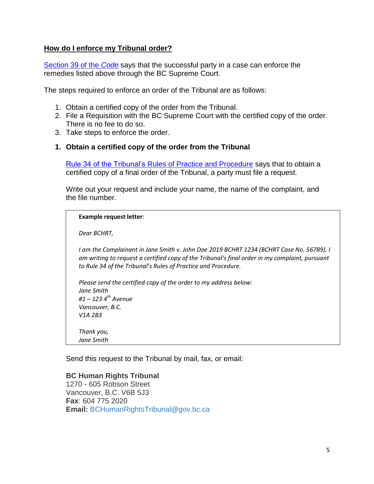#### <span id="page-4-0"></span>**How do I enforce my Tribunal order?**

[Section 39 of the](http://www.bclaws.ca/EPLibraries/bclaws_new/document/ID/freeside/00_96210_01#section39) *Code* says that the successful party in a case can enforce the remedies listed above through the BC Supreme Court.

The steps required to enforce an order of the Tribunal are as follows:

- 1. Obtain a certified copy of the order from the Tribunal.
- 2. File a Requisition with the BC Supreme Court with the certified copy of the order. There is no fee to do so.
- <span id="page-4-1"></span>3. Take steps to enforce the order.

#### **1. Obtain a certified copy of the order from the Tribunal**

[Rule 34 of the Tribunal's Rules of Practice and Procedure](http://www.bchrt.bc.ca/law-library/rules/2016version.htm#r34) says that to obtain a certified copy of a final order of the Tribunal, a party must file a request.

Write out your request and include your name, the name of the complaint, and the file number.

**Example request letter**:

*Dear BCHRT,* 

*I am the Complainant in Jane Smith v. John Doe 2019 BCHRT 1234 (BCHRT Case No. 56789). I am writing to request a certified copy of the Tribunal's final order in my complaint, pursuant to Rule 34 of the Tribunal's Rules of Practice and Procedure.* 

*Please send the certified copy of the order to my address below: Jane Smith #1 – 123 4th Avenue Vancouver, B.C. V1A 2B3 Thank you, Jane Smith*

Send this request to the Tribunal by mail, fax, or email:

#### **BC Human Rights Tribunal**

1270 - 605 Robson Street Vancouver, B.C. V6B 5J3 **Fax**: 604 775 2020 **Email:** [BCHumanRightsTribunal@gov.bc.ca](mailto:BCHumanRightsTribunal@gov.bc.ca)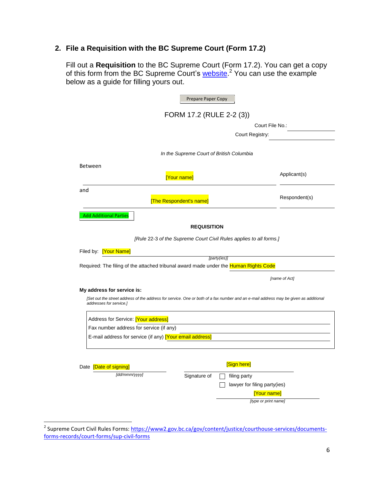# <span id="page-5-0"></span>**2. File a Requisition with the BC Supreme Court (Form 17.2)**

Fill out a **Requisition** to the BC Supreme Court (Form 17.2). You can get a copy of this form from the BC Supreme Court's [website.](https://www2.gov.bc.ca/gov/content/justice/courthouse-services/documents-forms-records/court-forms/sup-civil-forms)<sup>2</sup> You can use the example below as a guide for filling yours out.

|                                                                                                                                                                 | Prepare Paper Copy |                                                                    |               |
|-----------------------------------------------------------------------------------------------------------------------------------------------------------------|--------------------|--------------------------------------------------------------------|---------------|
|                                                                                                                                                                 |                    | FORM 17.2 (RULE 2-2 (3))                                           |               |
|                                                                                                                                                                 |                    | Court File No.:                                                    |               |
|                                                                                                                                                                 |                    | Court Registry:                                                    |               |
|                                                                                                                                                                 |                    | In the Supreme Court of British Columbia                           |               |
| <b>Between</b>                                                                                                                                                  |                    |                                                                    |               |
| [Your name]                                                                                                                                                     |                    |                                                                    | Applicant(s)  |
| and                                                                                                                                                             |                    |                                                                    |               |
| [The Respondent's name]                                                                                                                                         |                    |                                                                    | Respondent(s) |
| <b>Add Additional Parties</b>                                                                                                                                   |                    |                                                                    |               |
|                                                                                                                                                                 | <b>REQUISITION</b> |                                                                    |               |
|                                                                                                                                                                 |                    | [Rule 22-3 of the Supreme Court Civil Rules applies to all forms.] |               |
|                                                                                                                                                                 |                    |                                                                    |               |
| Filed by: [Your Name]                                                                                                                                           |                    | [party(ies)]                                                       |               |
| Required: The filing of the attached tribunal award made under the Human Rights Code                                                                            |                    |                                                                    |               |
|                                                                                                                                                                 |                    |                                                                    | [name of Act] |
| My address for service is:                                                                                                                                      |                    |                                                                    |               |
| [Set out the street address of the address for service. One or both of a fax number and an e-mail address may be given as additional<br>addresses for service.] |                    |                                                                    |               |
| Address for Service: [Your address]                                                                                                                             |                    |                                                                    |               |
| Fax number address for service (if any)                                                                                                                         |                    |                                                                    |               |
| E-mail address for service (if any) [Your email address]                                                                                                        |                    |                                                                    |               |
|                                                                                                                                                                 |                    |                                                                    |               |
| Date [Date of signing]                                                                                                                                          |                    | [Sign here]                                                        |               |
| [dd/mmm/yyyy]                                                                                                                                                   | Signature of       | filing party                                                       |               |
|                                                                                                                                                                 |                    | lawyer for filing party(ies)                                       |               |
|                                                                                                                                                                 |                    | [Your name]                                                        |               |
|                                                                                                                                                                 |                    | [type or print name]                                               |               |

<sup>&</sup>lt;u>.</u><br><sup>2</sup> Supreme Court Civil Rules Forms: <u>https://www2.gov.bc.ca/gov/content/justice/courthouse-services/documents-</u> [forms-records/court-forms/sup-civil-forms](https://www2.gov.bc.ca/gov/content/justice/courthouse-services/documents-forms-records/court-forms/sup-civil-forms)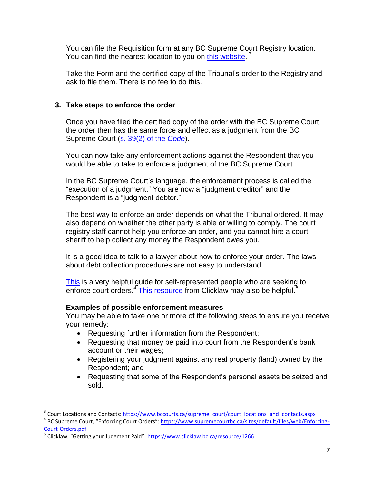You can file the Requisition form at any BC Supreme Court Registry location. You can find the nearest location to you on [this website.](https://www.bccourts.ca/supreme_court/court_locations_and_contacts.aspx)<sup>3</sup>

Take the Form and the certified copy of the Tribunal's order to the Registry and ask to file them. There is no fee to do this.

### <span id="page-6-0"></span>**3. Take steps to enforce the order**

Once you have filed the certified copy of the order with the BC Supreme Court, the order then has the same force and effect as a judgment from the BC Supreme Court [\(s. 39\(2\) of the](http://www.bclaws.ca/EPLibraries/bclaws_new/document/ID/freeside/00_96210_01#section39) *Code*).

You can now take any enforcement actions against the Respondent that you would be able to take to enforce a judgment of the BC Supreme Court.

In the BC Supreme Court's language, the enforcement process is called the "execution of a judgment." You are now a "judgment creditor" and the Respondent is a "judgment debtor."

The best way to enforce an order depends on what the Tribunal ordered. It may also depend on whether the other party is able or willing to comply. The court registry staff cannot help you enforce an order, and you cannot hire a court sheriff to help collect any money the Respondent owes you.

It is a good idea to talk to a lawyer about how to enforce your order. The laws about debt collection procedures are not easy to understand.

[This](https://www.supremecourtbc.ca/sites/default/files/web/Enforcing-Court-Orders.pdf#targetText=The%20first%20step%20in%20enforcing,person%20reasonable%20time%20to%20comply.) is a very helpful guide for self-represented people who are seeking to enforce court orders.<sup>4</sup> [This resource](https://www.clicklaw.bc.ca/resource/1266) from Clicklaw may also be helpful.<sup>5</sup>

#### **Examples of possible enforcement measures**

You may be able to take one or more of the following steps to ensure you receive your remedy:

- Requesting further information from the Respondent;
- Requesting that money be paid into court from the Respondent's bank account or their wages;
- Registering your judgment against any real property (land) owned by the Respondent; and
- Requesting that some of the Respondent's personal assets be seized and sold.

 $\overline{a}$ 

<sup>&</sup>lt;sup>3</sup> Court Locations and Contacts: [https://www.bccourts.ca/supreme\\_court/court\\_locations\\_and\\_contacts.aspx](https://www.bccourts.ca/supreme_court/court_locations_and_contacts.aspx)

<sup>&</sup>lt;sup>4</sup> BC Supreme Court, "Enforcing Court Orders": <u>https://www.supremecourtbc.ca/sites/default/files/web/Enforcing-</u> [Court-Orders.pdf](https://www.supremecourtbc.ca/sites/default/files/web/Enforcing-Court-Orders.pdf)

<sup>&</sup>lt;sup>5</sup> Clicklaw, "Getting your Judgment Paid": <https://www.clicklaw.bc.ca/resource/1266>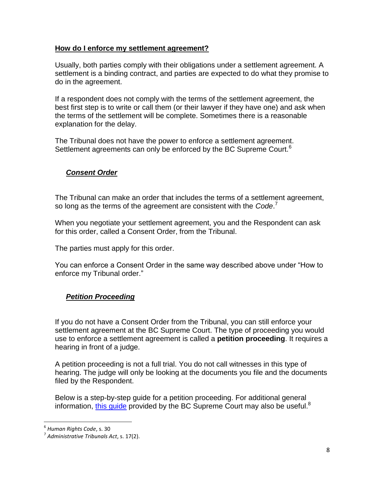#### <span id="page-7-0"></span>**How do I enforce my settlement agreement?**

Usually, both parties comply with their obligations under a settlement agreement. A settlement is a binding contract, and parties are expected to do what they promise to do in the agreement.

If a respondent does not comply with the terms of the settlement agreement, the best first step is to write or call them (or their lawyer if they have one) and ask when the terms of the settlement will be complete. Sometimes there is a reasonable explanation for the delay.

The Tribunal does not have the power to enforce a settlement agreement. Settlement agreements can only be enforced by the BC Supreme Court.<sup>6</sup>

## <span id="page-7-1"></span>*Consent Order*

The Tribunal can make an order that includes the terms of a settlement agreement, so long as the terms of the agreement are consistent with the *Code*. 7

When you negotiate your settlement agreement, you and the Respondent can ask for this order, called a Consent Order, from the Tribunal.

The parties must apply for this order.

You can enforce a Consent Order in the same way described above under "How to enforce my Tribunal order."

## <span id="page-7-2"></span>*Petition Proceeding*

If you do not have a Consent Order from the Tribunal, you can still enforce your settlement agreement at the BC Supreme Court. The type of proceeding you would use to enforce a settlement agreement is called a **petition proceeding**. It requires a hearing in front of a judge.

A petition proceeding is not a full trial. You do not call witnesses in this type of hearing. The judge will only be looking at the documents you file and the documents filed by the Respondent.

Below is a step-by-step guide for a petition proceeding. For additional general information, [this guide](https://www.supremecourtbc.ca/sites/default/files/web/Starting-a-Proceeding-by-Petition.pdf#targetText=It%20also%20sets%20out%20the,in%20the%20petition%20are%20true.) provided by the BC Supreme Court may also be useful.<sup>8</sup>

 6 *Human Rights Code*, s. 30

<sup>7</sup> *Administrative Tribunals Act*, s. 17(2).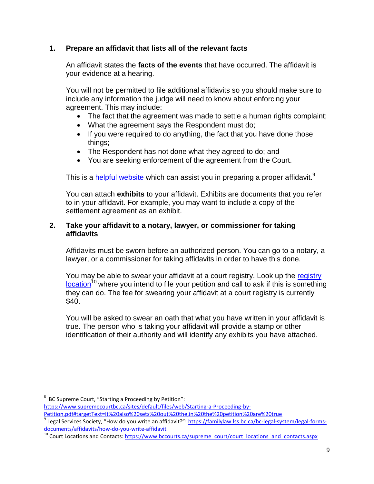## <span id="page-8-0"></span>**1. Prepare an affidavit that lists all of the relevant facts**

An affidavit states the **facts of the events** that have occurred. The affidavit is your evidence at a hearing.

You will not be permitted to file additional affidavits so you should make sure to include any information the judge will need to know about enforcing your agreement. This may include:

- The fact that the agreement was made to settle a human rights complaint;
- What the agreement says the Respondent must do;
- If you were required to do anything, the fact that you have done those things;
- The Respondent has not done what they agreed to do; and
- You are seeking enforcement of the agreement from the Court.

This is a [helpful website](https://familylaw.lss.bc.ca/bc-legal-system/legal-forms-documents/affidavits/how-do-you-write-affidavit) which can assist you in preparing a proper affidavit.<sup>9</sup>

You can attach **exhibits** to your affidavit. Exhibits are documents that you refer to in your affidavit. For example, you may want to include a copy of the settlement agreement as an exhibit.

#### <span id="page-8-1"></span>**2. Take your affidavit to a notary, lawyer, or commissioner for taking affidavits**

Affidavits must be sworn before an authorized person. You can go to a notary, a lawyer, or a commissioner for taking affidavits in order to have this done.

You may be able to swear your affidavit at a court registry. Look up the registry  $location<sup>10</sup>$  $location<sup>10</sup>$  where you intend to file your petition and call to ask if this is something they can do. The fee for swearing your affidavit at a court registry is currently \$40.

You will be asked to swear an oath that what you have written in your affidavit is true. The person who is taking your affidavit will provide a stamp or other identification of their authority and will identify any exhibits you have attached.

[https://www.supremecourtbc.ca/sites/default/files/web/Starting-a-Proceeding-by-](https://www.supremecourtbc.ca/sites/default/files/web/Starting-a-Proceeding-by-Petition.pdf#targetText=It%20also%20sets%20out%20the,in%20the%20petition%20are%20true)

 $\overline{a}$ 8 BC Supreme Court, "Starting a Proceeding by Petition":

[Petition.pdf#targetText=It%20also%20sets%20out%20the,in%20the%20petition%20are%20true](https://www.supremecourtbc.ca/sites/default/files/web/Starting-a-Proceeding-by-Petition.pdf#targetText=It%20also%20sets%20out%20the,in%20the%20petition%20are%20true)

<sup>&</sup>lt;sup>9</sup> Legal Services Society, "How do you write an affidavit?": <u>https://familylaw.lss.bc.ca/bc-legal-system/legal-forms-</u> [documents/affidavits/how-do-you-write-affidavit](https://familylaw.lss.bc.ca/bc-legal-system/legal-forms-documents/affidavits/how-do-you-write-affidavit)

<sup>&</sup>lt;sup>10</sup> Court Locations and Contacts[: https://www.bccourts.ca/supreme\\_court/court\\_locations\\_and\\_contacts.aspx](https://www.bccourts.ca/supreme_court/court_locations_and_contacts.aspx)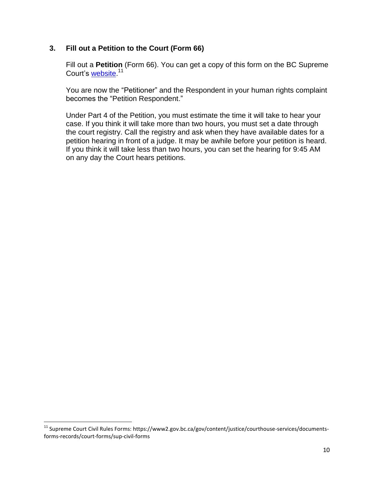#### <span id="page-9-0"></span>**3. Fill out a Petition to the Court (Form 66)**

Fill out a **Petition** (Form 66). You can get a copy of this form on the BC Supreme Court's <u>website.</u><sup>11</sup>

You are now the "Petitioner" and the Respondent in your human rights complaint becomes the "Petition Respondent."

Under Part 4 of the Petition, you must estimate the time it will take to hear your case. If you think it will take more than two hours, you must set a date through the court registry. Call the registry and ask when they have available dates for a petition hearing in front of a judge. It may be awhile before your petition is heard. If you think it will take less than two hours, you can set the hearing for 9:45 AM on any day the Court hears petitions.

l

<sup>&</sup>lt;sup>11</sup> Supreme Court Civil Rules Forms: https://www2.gov.bc.ca/gov/content/justice/courthouse-services/documentsforms-records/court-forms/sup-civil-forms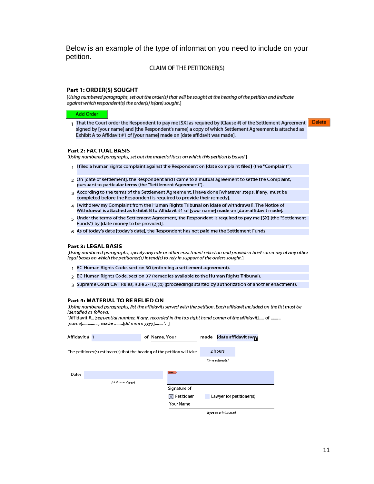Below is an example of the type of information you need to include on your petition.

#### **CLAIM OF THE PETITIONER(S)**

#### Part 1: ORDER(S) SOUGHT

[Using numbered paragraphs, set out the order(s) that will be sought at the hearing of the petition and indicate against which respondent(s) the order(s) is(are) sought.]

#### **Add Order**

1 That the Court order the Respondent to pay me [\$X] as required by [Clause #] of the Settlement Agreement **Delete** signed by [your name] and [the Respondent's name] a copy of which Settlement Agreement is attached as Exhibit A to Affidavit #1 of [your name] made on [date affidavit was made].

#### **Part 2: FACTUAL BASIS**

[Using numbered paragraphs, set out the material facts on which this petition is based.]

- 1 I filed a human rights complaint against the Respondent on [date complaint filed] (the "Complaint").
- 2 On [date of settlement], the Respondent and I came to a mutual agreement to settle the Complaint, pursuant to particular terms (the "Settlement Agreement").
- 3 According to the terms of the Settlement Agreement, I have done [whatever steps, if any, must be completed before the Respondent is required to provide their remedy].
- 4 I withdrew my Complaint from the Human Rights Tribunal on [date of withdrawal]. The Notice of Withdrawal is attached as Exhibit B to Affidavit #1 of [your name] made on [date affidavit made].
- 5 Under the terms of the Settlement Agreement, the Respondent is required to pay me [\$X] (the "Settlement Funds") by [date money to be provided].
- 6 As of today's date [today's date], the Respondent has not paid me the Settlement Funds.

#### Part 3: LEGAL BASIS

[Using numbered paragraphs, specify any rule or other enactment relied on and provide a brief summary of any other legal bases on which the petitioner(s) intend(s) to rely in support of the orders sought.]

- 1 BC Human Rights Code, section 30 (enforcing a settlement agreement).
- 2 BC Human Rights Code, section 37 (remedies available to the Human Rights Tribunal).
- 3 Supreme Court Civil Rules, Rule 2-1(2)(b) (proceedings started by authorization of another enactment).

#### Part 4: MATERIAL TO BE RELIED ON

[Using numbered paragraphs, list the affidavits served with the petition. Each affidavit included on the list must be identified as follows:

"Affidavit #...[sequential number, if any, recorded in the top right hand corner of the affidavit]..... of ......... [name]..............., made ........[dd mmm yyyy]........". ]

| Affidavit # 1 |                                                                          | of Name, Your |                        |                      | made [date affidavit swer |  |
|---------------|--------------------------------------------------------------------------|---------------|------------------------|----------------------|---------------------------|--|
|               | The petitioner(s) estimate(s) that the hearing of the petition will take |               |                        | 2 hours              |                           |  |
|               |                                                                          |               |                        | [time estimate]      |                           |  |
| Date:         |                                                                          |               | <b>MINNER</b>          |                      |                           |  |
|               | [dd/mmm/yyyy]                                                            |               | Signature of           |                      |                           |  |
|               |                                                                          |               | $\boxtimes$ Petitioner |                      | Lawyer for petitioner(s)  |  |
|               |                                                                          |               | <b>Your Name</b>       |                      |                           |  |
|               |                                                                          |               |                        | [type or print name] |                           |  |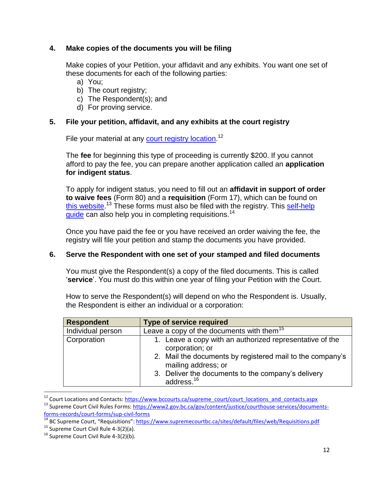#### <span id="page-11-0"></span>**4. Make copies of the documents you will be filing**

Make copies of your Petition, your affidavit and any exhibits. You want one set of these documents for each of the following parties:

- a) You;
- b) The court registry;
- c) The Respondent(s); and
- d) For proving service.

#### <span id="page-11-1"></span>**5. File your petition, affidavit, and any exhibits at the court registry**

File your material at any **court registry location**.<sup>12</sup>

The **fee** for beginning this type of proceeding is currently \$200. If you cannot afford to pay the fee, you can prepare another application called an **application for indigent status**.

To apply for indigent status, you need to fill out an **affidavit in support of order to waive fees** (Form 80) and a **requisition** (Form 17), which can be found on [this website.](https://www2.gov.bc.ca/gov/content/justice/courthouse-services/documents-forms-records/court-forms/sup-civil-forms)<sup>13</sup> These forms must also be filed with the registry. This self-help [guide](https://www.supremecourtbc.ca/sites/default/files/web/Requisitions.pdf) can also help you in completing requisitions.<sup>14</sup>

Once you have paid the fee or you have received an order waiving the fee, the registry will file your petition and stamp the documents you have provided.

#### <span id="page-11-2"></span>**6. Serve the Respondent with one set of your stamped and filed documents**

You must give the Respondent(s) a copy of the filed documents. This is called '**service**'. You must do this within one year of filing your Petition with the Court.

How to serve the Respondent(s) will depend on who the Respondent is. Usually, the Respondent is either an individual or a corporation:

| <b>Respondent</b> | <b>Type of service required</b>                                                                                                                                                                                                                 |
|-------------------|-------------------------------------------------------------------------------------------------------------------------------------------------------------------------------------------------------------------------------------------------|
| Individual person | Leave a copy of the documents with them <sup>15</sup>                                                                                                                                                                                           |
| Corporation       | 1. Leave a copy with an authorized representative of the<br>corporation; or<br>2. Mail the documents by registered mail to the company's<br>mailing address; or<br>3. Deliver the documents to the company's delivery<br>address. <sup>16</sup> |

<sup>&</sup>lt;sup>12</sup> Court Locations and Contacts[: https://www.bccourts.ca/supreme\\_court/court\\_locations\\_and\\_contacts.aspx](https://www.bccourts.ca/supreme_court/court_locations_and_contacts.aspx)

 $\overline{a}$ 

<sup>&</sup>lt;sup>13</sup> Supreme Court Civil Rules Forms: [https://www2.gov.bc.ca/gov/content/justice/courthouse-services/documents](https://www2.gov.bc.ca/gov/content/justice/courthouse-services/documents-forms-records/court-forms/sup-civil-forms)[forms-records/court-forms/sup-civil-forms](https://www2.gov.bc.ca/gov/content/justice/courthouse-services/documents-forms-records/court-forms/sup-civil-forms)

<sup>&</sup>lt;sup>14</sup> BC Supreme Court, "Requisitions": <https://www.supremecourtbc.ca/sites/default/files/web/Requisitions.pdf>

<sup>&</sup>lt;sup>15</sup> Supreme Court Civil Rule 4-3(2)(a).

 $16$  Supreme Court Civil Rule 4-3(2)(b).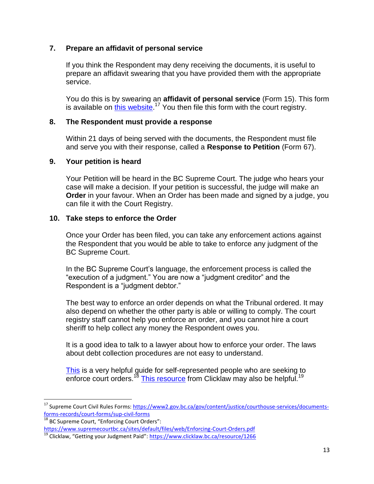#### <span id="page-12-0"></span>**7. Prepare an affidavit of personal service**

If you think the Respondent may deny receiving the documents, it is useful to prepare an affidavit swearing that you have provided them with the appropriate service.

You do this is by swearing an **affidavit of personal service** (Form 15). This form is available on *this website*.<sup>17</sup> You then file this form with the court registry.

#### <span id="page-12-1"></span>**8. The Respondent must provide a response**

Within 21 days of being served with the documents, the Respondent must file and serve you with their response, called a **Response to Petition** (Form 67).

#### <span id="page-12-2"></span>**9. Your petition is heard**

l

Your Petition will be heard in the BC Supreme Court. The judge who hears your case will make a decision. If your petition is successful, the judge will make an **Order** in your favour. When an Order has been made and signed by a judge, you can file it with the Court Registry.

#### <span id="page-12-3"></span>**10. Take steps to enforce the Order**

Once your Order has been filed, you can take any enforcement actions against the Respondent that you would be able to take to enforce any judgment of the BC Supreme Court.

In the BC Supreme Court's language, the enforcement process is called the "execution of a judgment." You are now a "judgment creditor" and the Respondent is a "judgment debtor."

The best way to enforce an order depends on what the Tribunal ordered. It may also depend on whether the other party is able or willing to comply. The court registry staff cannot help you enforce an order, and you cannot hire a court sheriff to help collect any money the Respondent owes you.

It is a good idea to talk to a lawyer about how to enforce your order. The laws about debt collection procedures are not easy to understand.

[This](https://www.supremecourtbc.ca/sites/default/files/web/Enforcing-Court-Orders.pdf#targetText=The%20first%20step%20in%20enforcing,person%20reasonable%20time%20to%20comply.) is a very helpful guide for self-represented people who are seeking to enforce court orders.<sup>18</sup> [This resource](https://www.clicklaw.bc.ca/resource/1266) from Clicklaw may also be helpful.<sup>19</sup>

<sup>&</sup>lt;sup>17</sup> Supreme Court Civil Rules Forms: [https://www2.gov.bc.ca/gov/content/justice/courthouse-services/documents](https://www2.gov.bc.ca/gov/content/justice/courthouse-services/documents-forms-records/court-forms/sup-civil-forms)[forms-records/court-forms/sup-civil-forms](https://www2.gov.bc.ca/gov/content/justice/courthouse-services/documents-forms-records/court-forms/sup-civil-forms)

<sup>&</sup>lt;sup>18</sup> BC Supreme Court, "Enforcing Court Orders": <https://www.supremecourtbc.ca/sites/default/files/web/Enforcing-Court-Orders.pdf>

<sup>&</sup>lt;sup>19</sup> Clicklaw, "Getting your Judgment Paid": <https://www.clicklaw.bc.ca/resource/1266>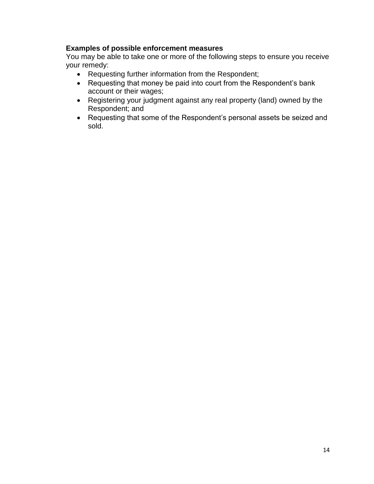## **Examples of possible enforcement measures**

You may be able to take one or more of the following steps to ensure you receive your remedy:

- Requesting further information from the Respondent;
- Requesting that money be paid into court from the Respondent's bank account or their wages;
- Registering your judgment against any real property (land) owned by the Respondent; and
- Requesting that some of the Respondent's personal assets be seized and sold.